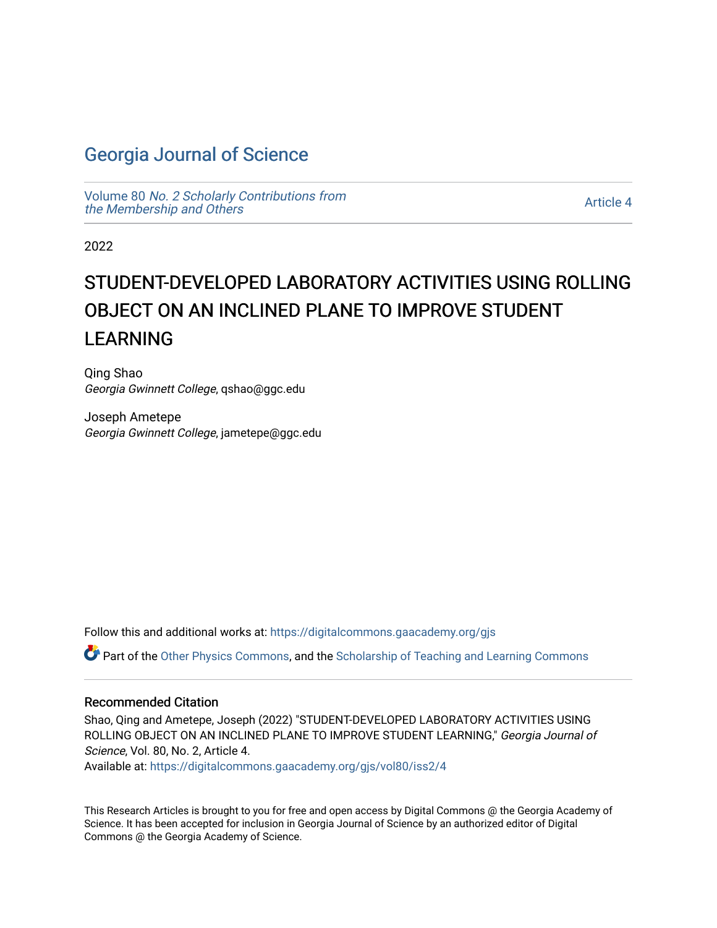# [Georgia Journal of Science](https://digitalcommons.gaacademy.org/gjs)

Volume 80 [No. 2 Scholarly Contributions from](https://digitalcommons.gaacademy.org/gjs/vol80) [the Membership and Others](https://digitalcommons.gaacademy.org/gjs/vol80) 

[Article 4](https://digitalcommons.gaacademy.org/gjs/vol80/iss2/4) 

2022

# STUDENT-DEVELOPED LABORATORY ACTIVITIES USING ROLLING OBJECT ON AN INCLINED PLANE TO IMPROVE STUDENT LEARNING

Qing Shao Georgia Gwinnett College, qshao@ggc.edu

Joseph Ametepe Georgia Gwinnett College, jametepe@ggc.edu

Follow this and additional works at: [https://digitalcommons.gaacademy.org/gjs](https://digitalcommons.gaacademy.org/gjs?utm_source=digitalcommons.gaacademy.org%2Fgjs%2Fvol80%2Fiss2%2F4&utm_medium=PDF&utm_campaign=PDFCoverPages) 

Part of the [Other Physics Commons](http://network.bepress.com/hgg/discipline/207?utm_source=digitalcommons.gaacademy.org%2Fgjs%2Fvol80%2Fiss2%2F4&utm_medium=PDF&utm_campaign=PDFCoverPages), and the Scholarship of Teaching and Learning Commons

#### Recommended Citation

Shao, Qing and Ametepe, Joseph (2022) "STUDENT-DEVELOPED LABORATORY ACTIVITIES USING ROLLING OBJECT ON AN INCLINED PLANE TO IMPROVE STUDENT LEARNING," Georgia Journal of Science, Vol. 80, No. 2, Article 4.

Available at: [https://digitalcommons.gaacademy.org/gjs/vol80/iss2/4](https://digitalcommons.gaacademy.org/gjs/vol80/iss2/4?utm_source=digitalcommons.gaacademy.org%2Fgjs%2Fvol80%2Fiss2%2F4&utm_medium=PDF&utm_campaign=PDFCoverPages)

This Research Articles is brought to you for free and open access by Digital Commons @ the Georgia Academy of Science. It has been accepted for inclusion in Georgia Journal of Science by an authorized editor of Digital Commons @ the Georgia Academy of Science.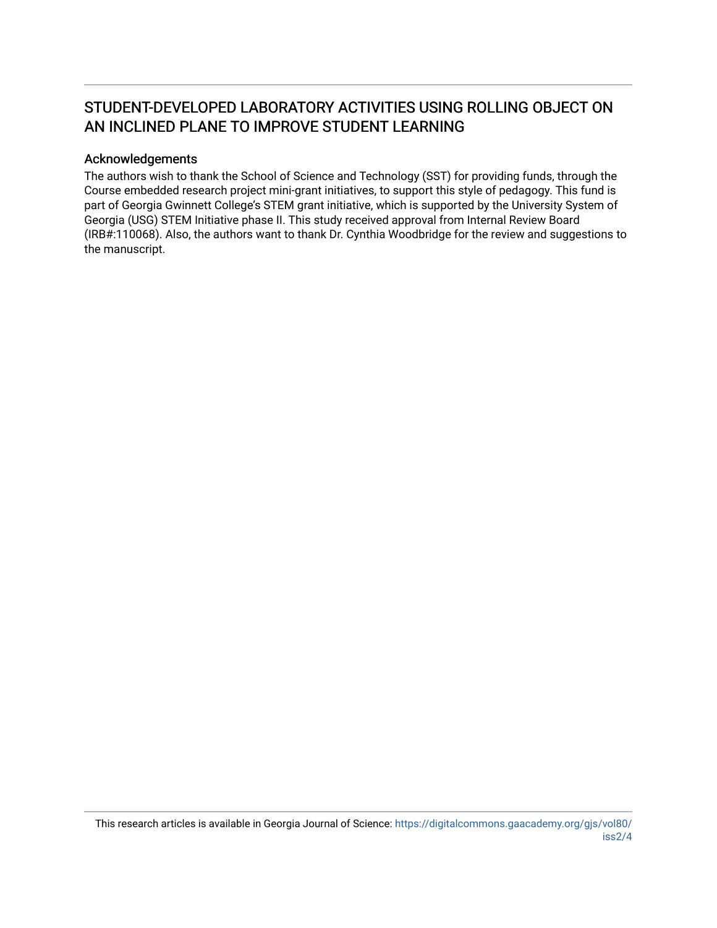# STUDENT-DEVELOPED LABORATORY ACTIVITIES USING ROLLING OBJECT ON AN INCLINED PLANE TO IMPROVE STUDENT LEARNING

#### Acknowledgements

The authors wish to thank the School of Science and Technology (SST) for providing funds, through the Course embedded research project mini-grant initiatives, to support this style of pedagogy. This fund is part of Georgia Gwinnett College's STEM grant initiative, which is supported by the University System of Georgia (USG) STEM Initiative phase II. This study received approval from Internal Review Board (IRB#:110068). Also, the authors want to thank Dr. Cynthia Woodbridge for the review and suggestions to the manuscript.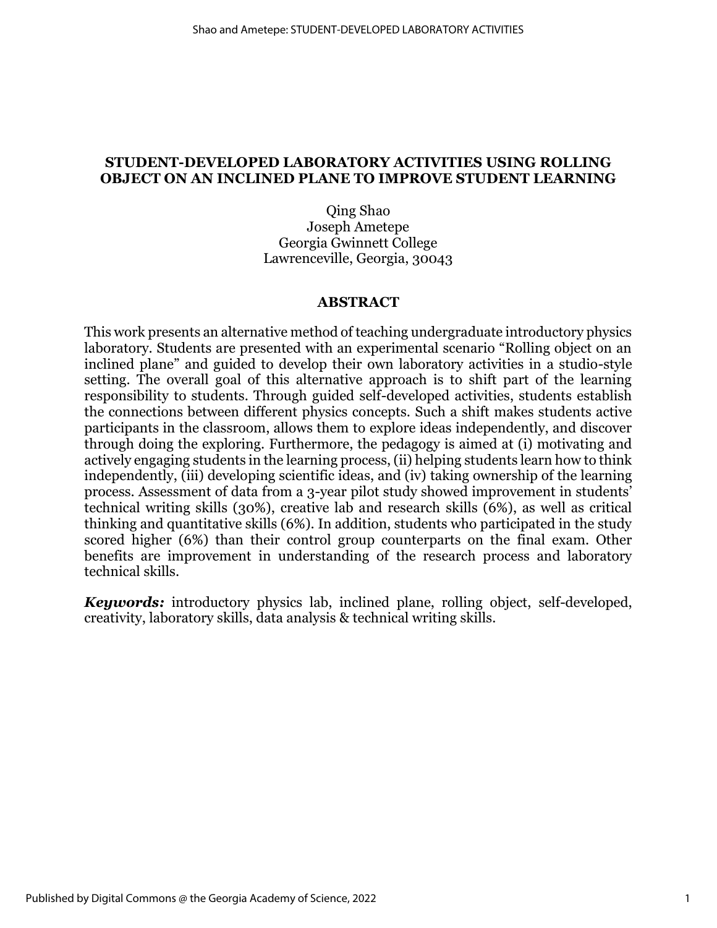### **STUDENT-DEVELOPED LABORATORY ACTIVITIES USING ROLLING OBJECT ON AN INCLINED PLANE TO IMPROVE STUDENT LEARNING**

Qing Shao Joseph Ametepe Georgia Gwinnett College Lawrenceville, Georgia, 30043

#### **ABSTRACT**

This work presents an alternative method of teaching undergraduate introductory physics laboratory. Students are presented with an experimental scenario "Rolling object on an inclined plane" and guided to develop their own laboratory activities in a studio-style setting. The overall goal of this alternative approach is to shift part of the learning responsibility to students. Through guided self-developed activities, students establish the connections between different physics concepts. Such a shift makes students active participants in the classroom, allows them to explore ideas independently, and discover through doing the exploring. Furthermore, the pedagogy is aimed at (i) motivating and actively engaging students in the learning process, (ii) helping students learn how to think independently, (iii) developing scientific ideas, and (iv) taking ownership of the learning process. Assessment of data from a 3-year pilot study showed improvement in students' technical writing skills (30%), creative lab and research skills (6%), as well as critical thinking and quantitative skills (6%). In addition, students who participated in the study scored higher (6%) than their control group counterparts on the final exam. Other benefits are improvement in understanding of the research process and laboratory technical skills.

*Keywords:* introductory physics lab, inclined plane, rolling object, self-developed, creativity, laboratory skills, data analysis & technical writing skills.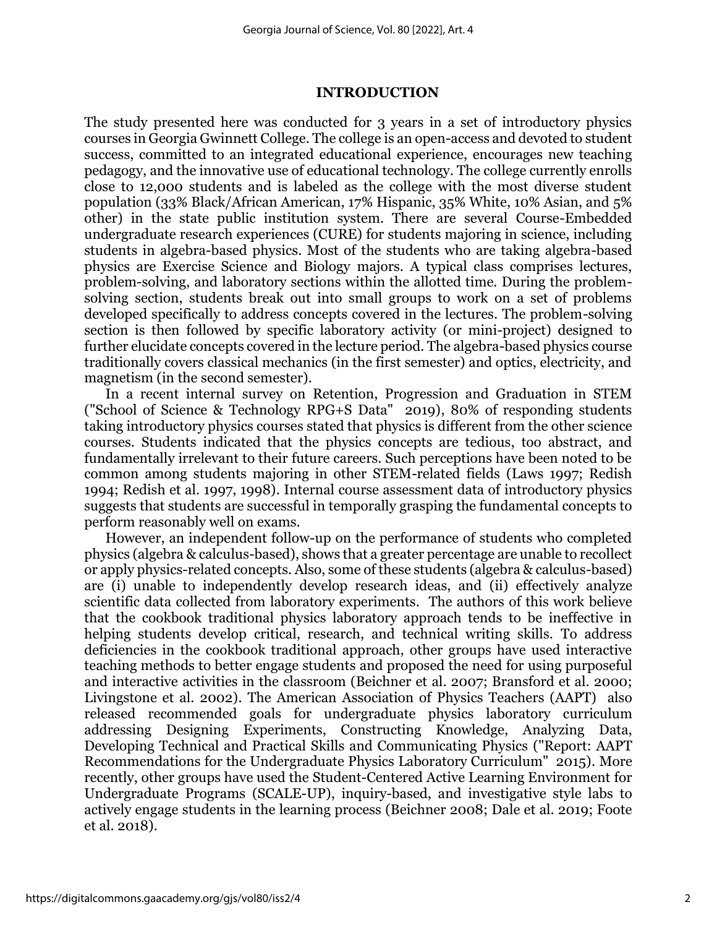#### **INTRODUCTION**

The study presented here was conducted for 3 years in a set of introductory physics courses in Georgia Gwinnett College. The college is an open-access and devoted to student success, committed to an integrated educational experience, encourages new teaching pedagogy, and the innovative use of educational technology. The college currently enrolls close to 12,000 students and is labeled as the college with the most diverse student population (33% Black/African American, 17% Hispanic, 35% White, 10% Asian, and 5% other) in the state public institution system. There are several Course-Embedded undergraduate research experiences (CURE) for students majoring in science, including students in algebra-based physics. Most of the students who are taking algebra-based physics are Exercise Science and Biology majors. A typical class comprises lectures, problem-solving, and laboratory sections within the allotted time. During the problemsolving section, students break out into small groups to work on a set of problems developed specifically to address concepts covered in the lectures. The problem-solving section is then followed by specific laboratory activity (or mini-project) designed to further elucidate concepts covered in the lecture period. The algebra-based physics course traditionally covers classical mechanics (in the first semester) and optics, electricity, and magnetism (in the second semester).

In a recent internal survey on Retention, Progression and Graduation in STEM ("School of Science & Technology RPG+S Data" 2019), 80% of responding students taking introductory physics courses stated that physics is different from the other science courses. Students indicated that the physics concepts are tedious, too abstract, and fundamentally irrelevant to their future careers. Such perceptions have been noted to be common among students majoring in other STEM-related fields (Laws 1997; Redish 1994; Redish et al. 1997, 1998). Internal course assessment data of introductory physics suggests that students are successful in temporally grasping the fundamental concepts to perform reasonably well on exams.

However, an independent follow-up on the performance of students who completed physics (algebra & calculus-based), shows that a greater percentage are unable to recollect or apply physics-related concepts. Also, some of these students (algebra & calculus-based) are (i) unable to independently develop research ideas, and (ii) effectively analyze scientific data collected from laboratory experiments. The authors of this work believe that the cookbook traditional physics laboratory approach tends to be ineffective in helping students develop critical, research, and technical writing skills. To address deficiencies in the cookbook traditional approach, other groups have used interactive teaching methods to better engage students and proposed the need for using purposeful and interactive activities in the classroom (Beichner et al. 2007; Bransford et al. 2000; Livingstone et al. 2002). The American Association of Physics Teachers (AAPT) also released recommended goals for undergraduate physics laboratory curriculum addressing Designing Experiments, Constructing Knowledge, Analyzing Data, Developing Technical and Practical Skills and Communicating Physics ("Report: AAPT Recommendations for the Undergraduate Physics Laboratory Curriculum" 2015). More recently, other groups have used the Student-Centered Active Learning Environment for Undergraduate Programs (SCALE-UP), inquiry-based, and investigative style labs to actively engage students in the learning process (Beichner 2008; Dale et al. 2019; Foote et al. 2018).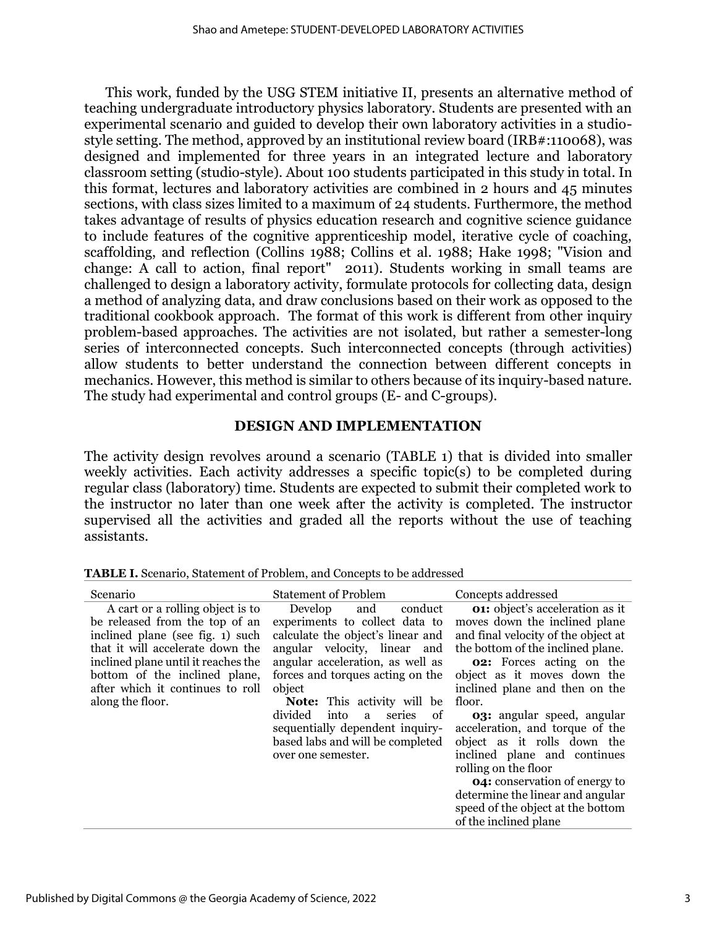This work, funded by the USG STEM initiative II, presents an alternative method of teaching undergraduate introductory physics laboratory. Students are presented with an experimental scenario and guided to develop their own laboratory activities in a studiostyle setting. The method, approved by an institutional review board (IRB#:110068), was designed and implemented for three years in an integrated lecture and laboratory classroom setting (studio-style). About 100 students participated in this study in total. In this format, lectures and laboratory activities are combined in 2 hours and 45 minutes sections, with class sizes limited to a maximum of 24 students. Furthermore, the method takes advantage of results of physics education research and cognitive science guidance to include features of the cognitive apprenticeship model, iterative cycle of coaching, scaffolding, and reflection (Collins 1988; Collins et al. 1988; Hake 1998; "Vision and change: A call to action, final report" 2011). Students working in small teams are challenged to design a laboratory activity, formulate protocols for collecting data, design a method of analyzing data, and draw conclusions based on their work as opposed to the traditional cookbook approach. The format of this work is different from other inquiry problem-based approaches. The activities are not isolated, but rather a semester-long series of interconnected concepts. Such interconnected concepts (through activities) allow students to better understand the connection between different concepts in mechanics. However, this method is similar to others because of its inquiry-based nature. The study had experimental and control groups (E- and C-groups).

## **DESIGN AND IMPLEMENTATION**

The activity design revolves around a scenario (TABLE 1) that is divided into smaller weekly activities. Each activity addresses a specific topic(s) to be completed during regular class (laboratory) time. Students are expected to submit their completed work to the instructor no later than one week after the activity is completed. The instructor supervised all the activities and graded all the reports without the use of teaching assistants.

| Scenario                                                                                                                                                                                                                                                                   | <b>Statement of Problem</b>                                                                                                                                                                                                                                                                                                                                                                   | Concepts addressed                                                                                                                                                                                                                                                                                                                                                                                                                                                                                                                                                         |
|----------------------------------------------------------------------------------------------------------------------------------------------------------------------------------------------------------------------------------------------------------------------------|-----------------------------------------------------------------------------------------------------------------------------------------------------------------------------------------------------------------------------------------------------------------------------------------------------------------------------------------------------------------------------------------------|----------------------------------------------------------------------------------------------------------------------------------------------------------------------------------------------------------------------------------------------------------------------------------------------------------------------------------------------------------------------------------------------------------------------------------------------------------------------------------------------------------------------------------------------------------------------------|
| A cart or a rolling object is to<br>be released from the top of an<br>inclined plane (see fig. 1) such<br>that it will accelerate down the<br>inclined plane until it reaches the<br>bottom of the inclined plane,<br>after which it continues to roll<br>along the floor. | conduct<br>Develop<br>and<br>experiments to collect data to<br>calculate the object's linear and<br>angular velocity, linear and<br>angular acceleration, as well as<br>forces and torques acting on the<br>object<br><b>Note:</b> This activity will be<br>divided<br>into<br>series<br>of<br>a<br>sequentially dependent inquiry-<br>based labs and will be completed<br>over one semester. | <b>01:</b> object's acceleration as it<br>moves down the inclined plane<br>and final velocity of the object at<br>the bottom of the inclined plane.<br><b>02:</b> Forces acting on the<br>object as it moves down the<br>inclined plane and then on the<br>floor.<br><b>03:</b> angular speed, angular<br>acceleration, and torque of the<br>object as it rolls down the<br>inclined plane and continues<br>rolling on the floor<br><b>04:</b> conservation of energy to<br>determine the linear and angular<br>speed of the object at the bottom<br>of the inclined plane |
|                                                                                                                                                                                                                                                                            |                                                                                                                                                                                                                                                                                                                                                                                               |                                                                                                                                                                                                                                                                                                                                                                                                                                                                                                                                                                            |

**TABLE I.** Scenario, Statement of Problem, and Concepts to be addressed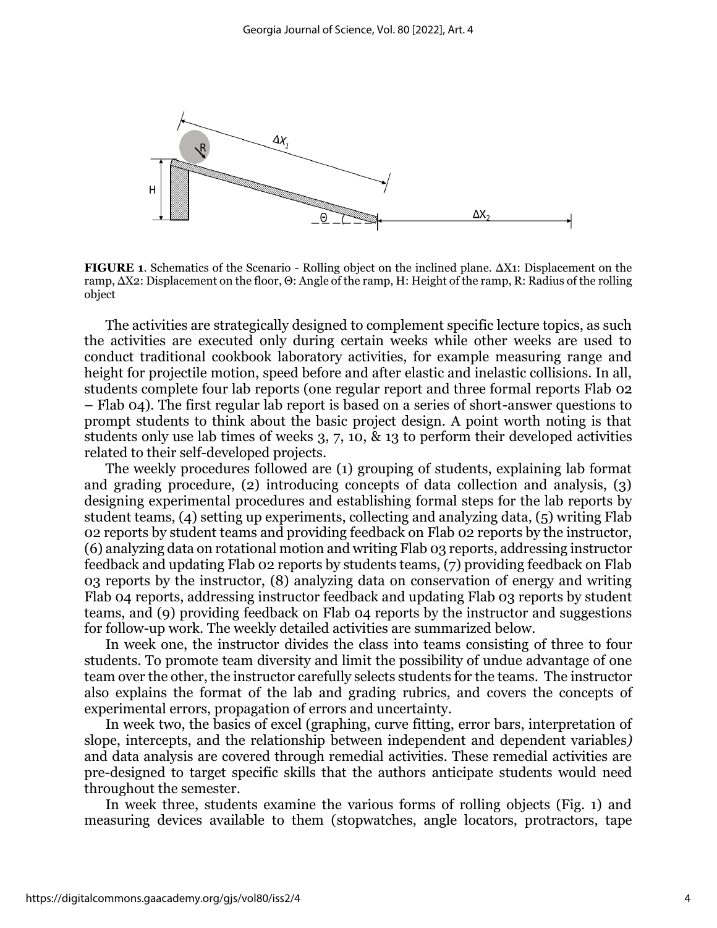

**FIGURE 1**. Schematics of the Scenario - Rolling object on the inclined plane. ΔX1: Displacement on the ramp, ΔX2: Displacement on the floor, Θ: Angle of the ramp, H: Height of the ramp, R: Radius of the rolling object

The activities are strategically designed to complement specific lecture topics, as such the activities are executed only during certain weeks while other weeks are used to conduct traditional cookbook laboratory activities, for example measuring range and height for projectile motion, speed before and after elastic and inelastic collisions. In all, students complete four lab reports (one regular report and three formal reports Flab 02 – Flab 04). The first regular lab report is based on a series of short-answer questions to prompt students to think about the basic project design. A point worth noting is that students only use lab times of weeks 3, 7, 10, & 13 to perform their developed activities related to their self-developed projects.

The weekly procedures followed are (1) grouping of students, explaining lab format and grading procedure, (2) introducing concepts of data collection and analysis, (3) designing experimental procedures and establishing formal steps for the lab reports by student teams, (4) setting up experiments, collecting and analyzing data, (5) writing Flab 02 reports by student teams and providing feedback on Flab 02 reports by the instructor, (6) analyzing data on rotational motion and writing Flab 03 reports, addressing instructor feedback and updating Flab 02 reports by students teams, (7) providing feedback on Flab 03 reports by the instructor, (8) analyzing data on conservation of energy and writing Flab 04 reports, addressing instructor feedback and updating Flab 03 reports by student teams, and (9) providing feedback on Flab 04 reports by the instructor and suggestions for follow-up work. The weekly detailed activities are summarized below.

In week one, the instructor divides the class into teams consisting of three to four students. To promote team diversity and limit the possibility of undue advantage of one team over the other, the instructor carefully selects students for the teams. The instructor also explains the format of the lab and grading rubrics, and covers the concepts of experimental errors, propagation of errors and uncertainty.

In week two, the basics of excel (graphing, curve fitting, error bars, interpretation of slope, intercepts, and the relationship between independent and dependent variables*)* and data analysis are covered through remedial activities. These remedial activities are pre-designed to target specific skills that the authors anticipate students would need throughout the semester.

In week three, students examine the various forms of rolling objects (Fig. 1) and measuring devices available to them (stopwatches, angle locators, protractors, tape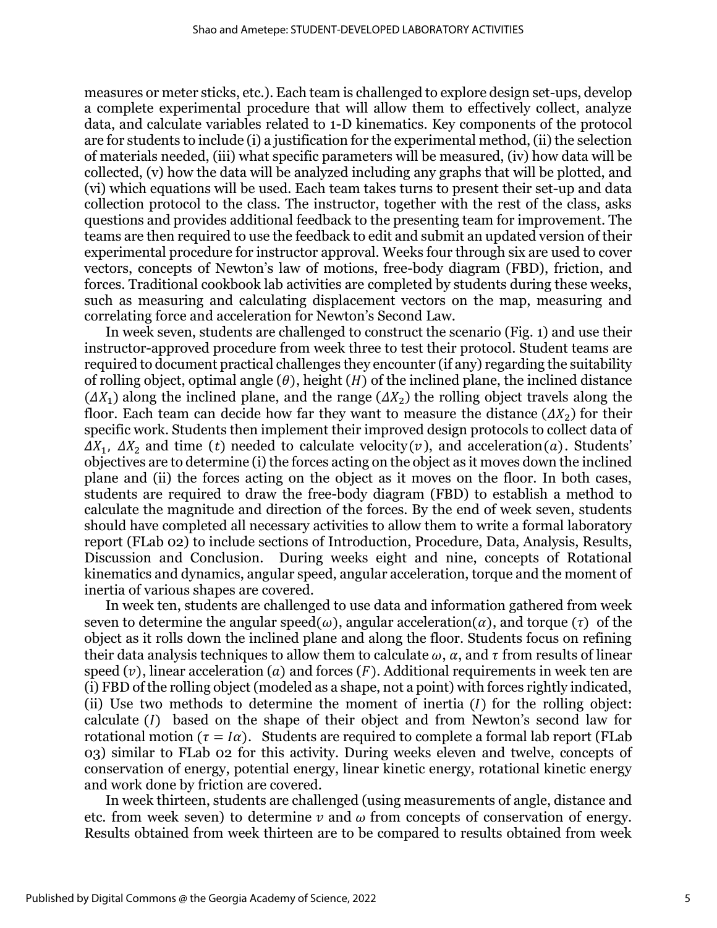measures or meter sticks, etc.). Each team is challenged to explore design set-ups, develop a complete experimental procedure that will allow them to effectively collect, analyze data, and calculate variables related to 1-D kinematics. Key components of the protocol are for students to include (i) a justification for the experimental method, (ii) the selection of materials needed, (iii) what specific parameters will be measured, (iv) how data will be collected, (v) how the data will be analyzed including any graphs that will be plotted, and (vi) which equations will be used. Each team takes turns to present their set-up and data collection protocol to the class. The instructor, together with the rest of the class, asks questions and provides additional feedback to the presenting team for improvement. The teams are then required to use the feedback to edit and submit an updated version of their experimental procedure for instructor approval. Weeks four through six are used to cover vectors, concepts of Newton's law of motions, free-body diagram (FBD), friction, and forces. Traditional cookbook lab activities are completed by students during these weeks, such as measuring and calculating displacement vectors on the map, measuring and correlating force and acceleration for Newton's Second Law.

In week seven, students are challenged to construct the scenario (Fig. 1) and use their instructor-approved procedure from week three to test their protocol. Student teams are required to document practical challenges they encounter (if any) regarding the suitability of rolling object, optimal angle  $(\theta)$ , height  $(H)$  of the inclined plane, the inclined distance  $(\Delta X_1)$  along the inclined plane, and the range  $(\Delta X_2)$  the rolling object travels along the floor. Each team can decide how far they want to measure the distance  $(\Delta X_2)$  for their specific work. Students then implement their improved design protocols to collect data of  $\Delta X_1$ ,  $\Delta X_2$  and time (t) needed to calculate velocity(v), and acceleration(a). Students' objectives are to determine (i) the forces acting on the object as it moves down the inclined plane and (ii) the forces acting on the object as it moves on the floor. In both cases, students are required to draw the free-body diagram (FBD) to establish a method to calculate the magnitude and direction of the forces. By the end of week seven, students should have completed all necessary activities to allow them to write a formal laboratory report (FLab 02) to include sections of Introduction, Procedure, Data, Analysis, Results, Discussion and Conclusion. During weeks eight and nine, concepts of Rotational kinematics and dynamics, angular speed, angular acceleration, torque and the moment of inertia of various shapes are covered.

In week ten, students are challenged to use data and information gathered from week seven to determine the angular speed( $\omega$ ), angular acceleration( $\alpha$ ), and torque ( $\tau$ ) of the object as it rolls down the inclined plane and along the floor. Students focus on refining their data analysis techniques to allow them to calculate  $\omega$ ,  $\alpha$ , and  $\tau$  from results of linear speed  $(v)$ , linear acceleration (a) and forces  $(F)$ . Additional requirements in week ten are (i) FBD of the rolling object (modeled as a shape, not a point) with forces rightly indicated, (ii) Use two methods to determine the moment of inertia  $(I)$  for the rolling object: calculate  $(I)$  based on the shape of their object and from Newton's second law for rotational motion ( $\tau = I\alpha$ ). Students are required to complete a formal lab report (FLab 03) similar to FLab 02 for this activity. During weeks eleven and twelve, concepts of conservation of energy, potential energy, linear kinetic energy, rotational kinetic energy and work done by friction are covered.

In week thirteen, students are challenged (using measurements of angle, distance and etc. from week seven) to determine  $\nu$  and  $\omega$  from concepts of conservation of energy. Results obtained from week thirteen are to be compared to results obtained from week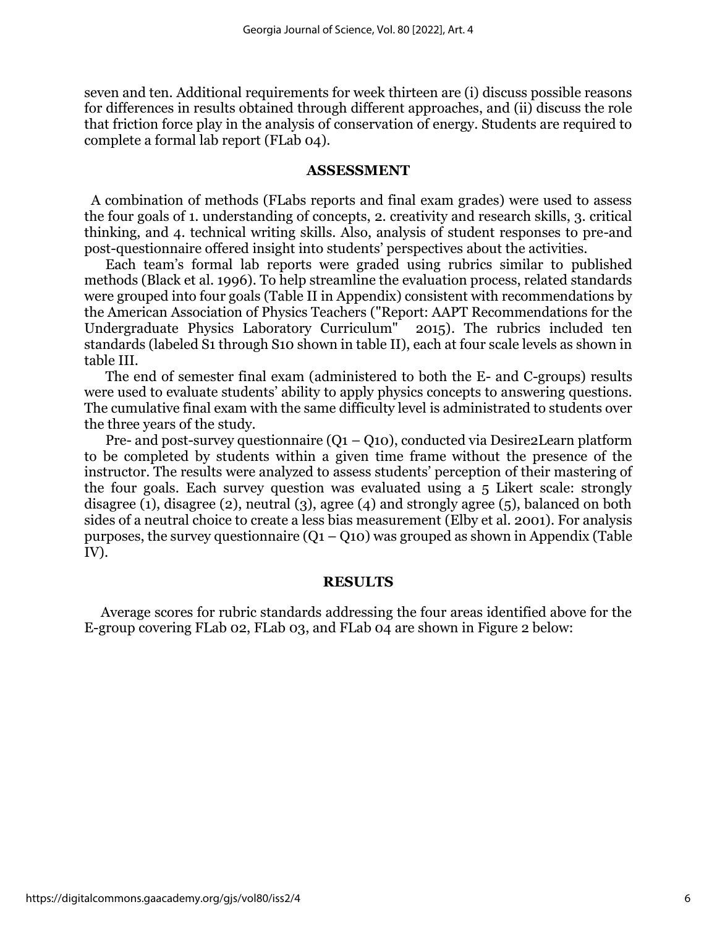seven and ten. Additional requirements for week thirteen are (i) discuss possible reasons for differences in results obtained through different approaches, and (ii) discuss the role that friction force play in the analysis of conservation of energy. Students are required to complete a formal lab report (FLab 04).

#### **ASSESSMENT**

 A combination of methods (FLabs reports and final exam grades) were used to assess the four goals of 1. understanding of concepts, 2. creativity and research skills, 3. critical thinking, and 4. technical writing skills. Also, analysis of student responses to pre-and post-questionnaire offered insight into students' perspectives about the activities.

Each team's formal lab reports were graded using rubrics similar to published methods (Black et al. 1996). To help streamline the evaluation process, related standards were grouped into four goals (Table II in Appendix) consistent with recommendations by the American Association of Physics Teachers ("Report: AAPT Recommendations for the Undergraduate Physics Laboratory Curriculum" 2015). The rubrics included ten standards (labeled S1 through S10 shown in table II), each at four scale levels as shown in table III.

The end of semester final exam (administered to both the E- and C-groups) results were used to evaluate students' ability to apply physics concepts to answering questions. The cumulative final exam with the same difficulty level is administrated to students over the three years of the study.

Pre- and post-survey questionnaire  $(Q_1 - Q_{10})$ , conducted via Desire2Learn platform to be completed by students within a given time frame without the presence of the instructor. The results were analyzed to assess students' perception of their mastering of the four goals. Each survey question was evaluated using a 5 Likert scale: strongly disagree (1), disagree (2), neutral (3), agree (4) and strongly agree (5), balanced on both sides of a neutral choice to create a less bias measurement (Elby et al. 2001). For analysis purposes, the survey questionnaire  $(O_1 - O_1)$  was grouped as shown in Appendix (Table IV).

#### **RESULTS**

Average scores for rubric standards addressing the four areas identified above for the E-group covering FLab 02, FLab 03, and FLab 04 are shown in Figure 2 below: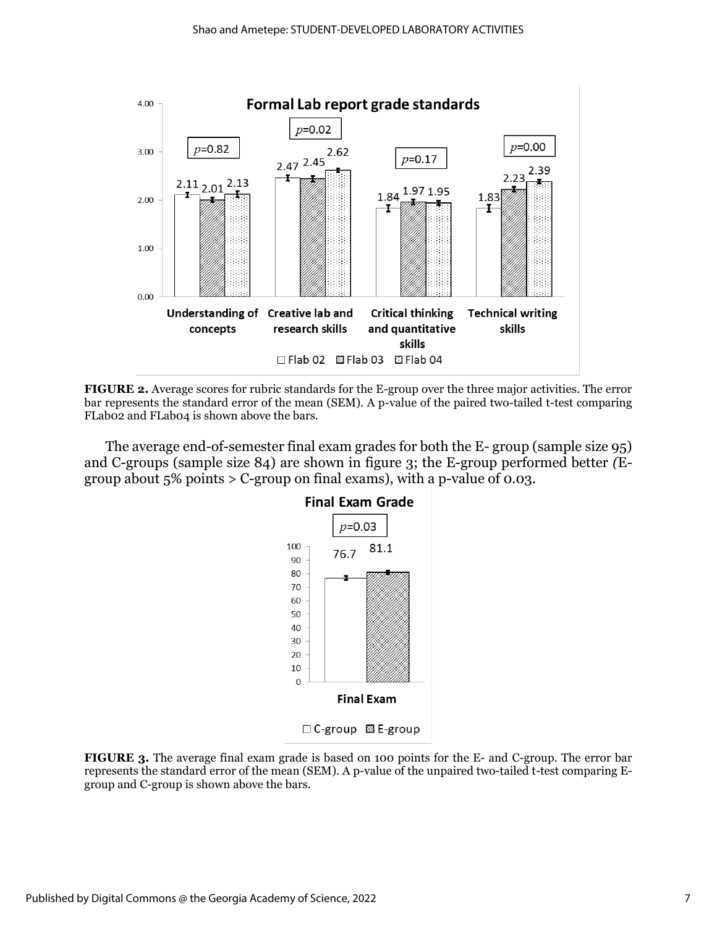

**FIGURE 2.** Average scores for rubric standards for the E-group over the three major activities. The error bar represents the standard error of the mean (SEM). A p-value of the paired two-tailed t-test comparing FLab02 and FLab04 is shown above the bars.

The average end-of-semester final exam grades for both the E- group (sample size 95) and C-groups (sample size 84) are shown in figure 3; the E-group performed better *(*Egroup about  $5\%$  points  $>$  C-group on final exams), with a p-value of 0.03.



□ C-group 22 E-group

**FIGURE 3.** The average final exam grade is based on 100 points for the E- and C-group. The error bar represents the standard error of the mean (SEM). A p-value of the unpaired two-tailed t-test comparing Egroup and C-group is shown above the bars.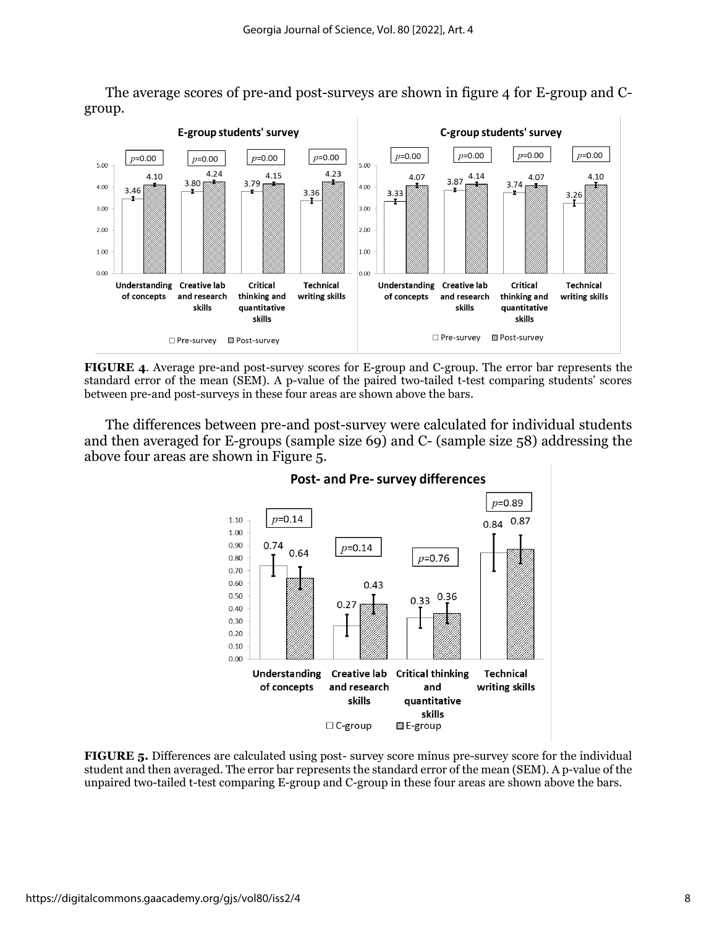The average scores of pre-and post-surveys are shown in figure 4 for E-group and Cgroup.



**FIGURE 4**. Average pre-and post-survey scores for E-group and C-group. The error bar represents the standard error of the mean (SEM). A p-value of the paired two-tailed t-test comparing students' scores between pre-and post-surveys in these four areas are shown above the bars.

The differences between pre-and post-survey were calculated for individual students and then averaged for E-groups (sample size 69) and C- (sample size 58) addressing the above four areas are shown in Figure 5.



#### **Post- and Pre- survey differences**

**FIGURE 5.** Differences are calculated using post- survey score minus pre-survey score for the individual student and then averaged. The error bar represents the standard error of the mean (SEM). A p-value of the unpaired two-tailed t-test comparing E-group and C-group in these four areas are shown above the bars.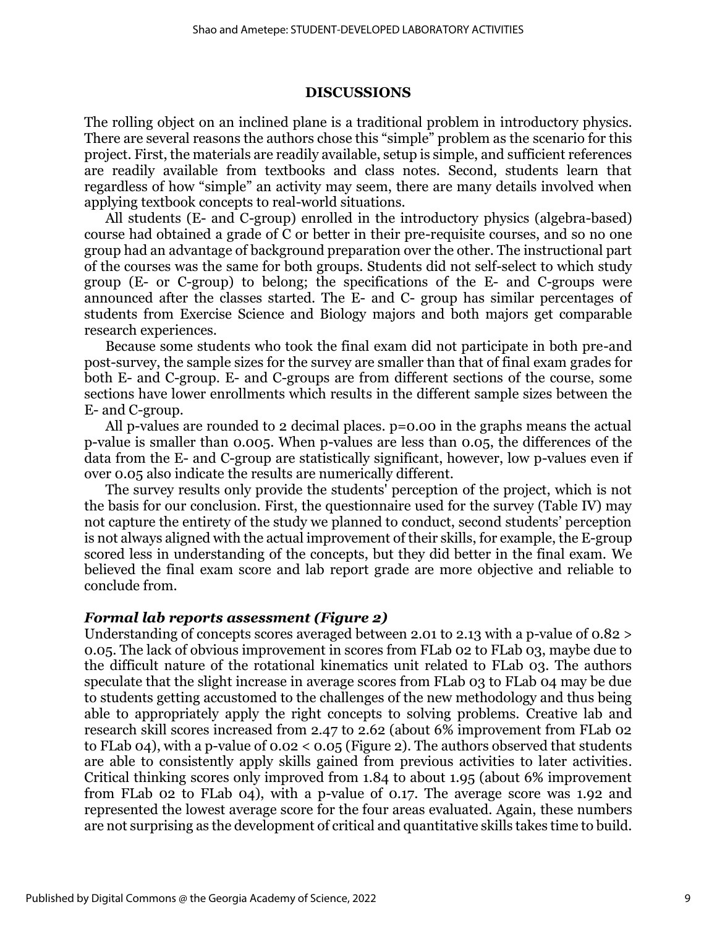#### **DISCUSSIONS**

The rolling object on an inclined plane is a traditional problem in introductory physics. There are several reasons the authors chose this "simple" problem as the scenario for this project. First, the materials are readily available, setup is simple, and sufficient references are readily available from textbooks and class notes. Second, students learn that regardless of how "simple" an activity may seem, there are many details involved when applying textbook concepts to real-world situations.

All students (E- and C-group) enrolled in the introductory physics (algebra-based) course had obtained a grade of C or better in their pre-requisite courses, and so no one group had an advantage of background preparation over the other. The instructional part of the courses was the same for both groups. Students did not self-select to which study group (E- or C-group) to belong; the specifications of the E- and C-groups were announced after the classes started. The E- and C- group has similar percentages of students from Exercise Science and Biology majors and both majors get comparable research experiences.

Because some students who took the final exam did not participate in both pre-and post-survey, the sample sizes for the survey are smaller than that of final exam grades for both E- and C-group. E- and C-groups are from different sections of the course, some sections have lower enrollments which results in the different sample sizes between the E- and C-group.

All p-values are rounded to 2 decimal places. p=0.00 in the graphs means the actual p-value is smaller than 0.005. When p-values are less than 0.05, the differences of the data from the E- and C-group are statistically significant, however, low p-values even if over 0.05 also indicate the results are numerically different.

The survey results only provide the students' perception of the project, which is not the basis for our conclusion. First, the questionnaire used for the survey (Table IV) may not capture the entirety of the study we planned to conduct, second students' perception is not always aligned with the actual improvement of their skills, for example, the E-group scored less in understanding of the concepts, but they did better in the final exam. We believed the final exam score and lab report grade are more objective and reliable to conclude from.

#### *Formal lab reports assessment (Figure 2)*

Understanding of concepts scores averaged between 2.01 to 2.13 with a p-value of 0.82 > 0.05. The lack of obvious improvement in scores from FLab 02 to FLab 03, maybe due to the difficult nature of the rotational kinematics unit related to FLab 03. The authors speculate that the slight increase in average scores from FLab 03 to FLab 04 may be due to students getting accustomed to the challenges of the new methodology and thus being able to appropriately apply the right concepts to solving problems. Creative lab and research skill scores increased from 2.47 to 2.62 (about 6% improvement from FLab 02 to FLab 04), with a p-value of 0.02 < 0.05 (Figure 2). The authors observed that students are able to consistently apply skills gained from previous activities to later activities. Critical thinking scores only improved from 1.84 to about 1.95 (about 6% improvement from FLab 02 to FLab 04), with a p-value of 0.17. The average score was 1.92 and represented the lowest average score for the four areas evaluated. Again, these numbers are not surprising as the development of critical and quantitative skills takes time to build.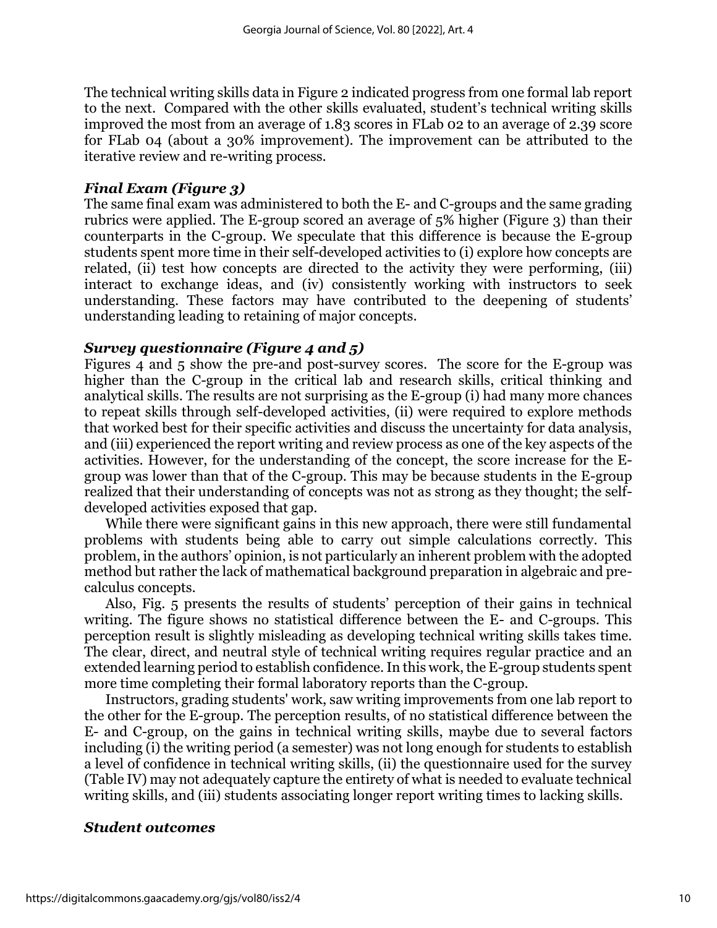The technical writing skills data in Figure 2 indicated progress from one formal lab report to the next. Compared with the other skills evaluated, student's technical writing skills improved the most from an average of 1.83 scores in FLab 02 to an average of 2.39 score for FLab 04 (about a 30% improvement). The improvement can be attributed to the iterative review and re-writing process.

# *Final Exam (Figure 3)*

The same final exam was administered to both the E- and C-groups and the same grading rubrics were applied. The E-group scored an average of 5% higher (Figure 3) than their counterparts in the C-group. We speculate that this difference is because the E-group students spent more time in their self-developed activities to (i) explore how concepts are related, (ii) test how concepts are directed to the activity they were performing, (iii) interact to exchange ideas, and (iv) consistently working with instructors to seek understanding. These factors may have contributed to the deepening of students' understanding leading to retaining of major concepts.

# *Survey questionnaire (Figure 4 and 5)*

Figures 4 and 5 show the pre-and post-survey scores. The score for the E-group was higher than the C-group in the critical lab and research skills, critical thinking and analytical skills. The results are not surprising as the E-group (i) had many more chances to repeat skills through self-developed activities, (ii) were required to explore methods that worked best for their specific activities and discuss the uncertainty for data analysis, and (iii) experienced the report writing and review process as one of the key aspects of the activities. However, for the understanding of the concept, the score increase for the Egroup was lower than that of the C-group. This may be because students in the E-group realized that their understanding of concepts was not as strong as they thought; the selfdeveloped activities exposed that gap.

While there were significant gains in this new approach, there were still fundamental problems with students being able to carry out simple calculations correctly. This problem, in the authors' opinion, is not particularly an inherent problem with the adopted method but rather the lack of mathematical background preparation in algebraic and precalculus concepts.

Also, Fig. 5 presents the results of students' perception of their gains in technical writing. The figure shows no statistical difference between the E- and C-groups. This perception result is slightly misleading as developing technical writing skills takes time. The clear, direct, and neutral style of technical writing requires regular practice and an extended learning period to establish confidence. In this work, the E-group students spent more time completing their formal laboratory reports than the C-group.

Instructors, grading students' work, saw writing improvements from one lab report to the other for the E-group. The perception results, of no statistical difference between the E- and C-group, on the gains in technical writing skills, maybe due to several factors including (i) the writing period (a semester) was not long enough for students to establish a level of confidence in technical writing skills, (ii) the questionnaire used for the survey (Table IV) may not adequately capture the entirety of what is needed to evaluate technical writing skills, and (iii) students associating longer report writing times to lacking skills.

# *Student outcomes*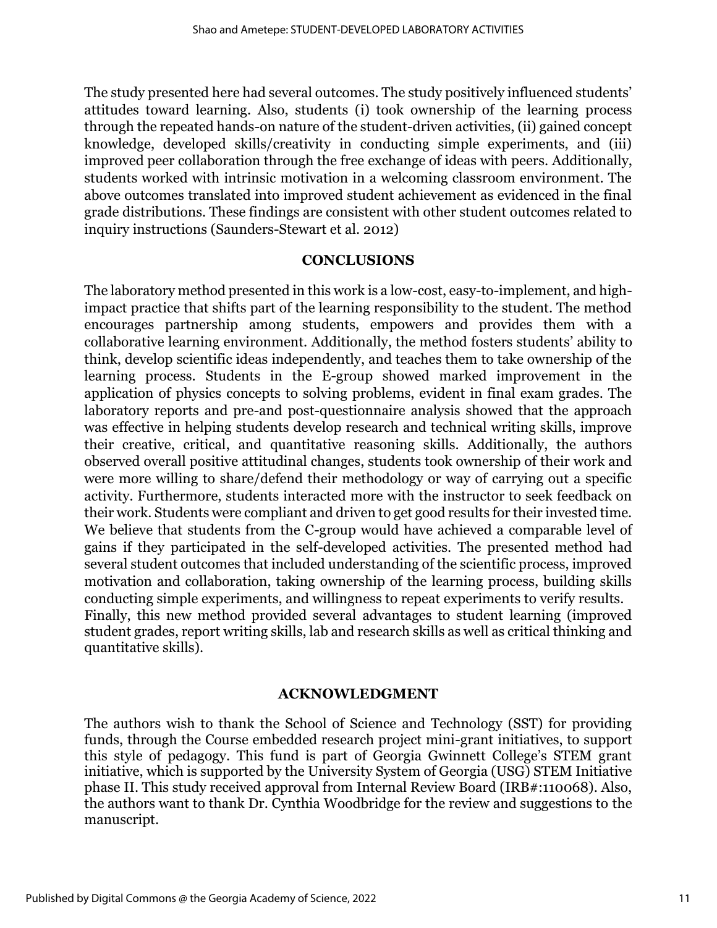The study presented here had several outcomes. The study positively influenced students' attitudes toward learning. Also, students (i) took ownership of the learning process through the repeated hands-on nature of the student-driven activities, (ii) gained concept knowledge, developed skills/creativity in conducting simple experiments, and (iii) improved peer collaboration through the free exchange of ideas with peers. Additionally, students worked with intrinsic motivation in a welcoming classroom environment. The above outcomes translated into improved student achievement as evidenced in the final grade distributions. These findings are consistent with other student outcomes related to inquiry instructions (Saunders-Stewart et al. 2012)

## **CONCLUSIONS**

The laboratory method presented in this work is a low-cost, easy-to-implement, and highimpact practice that shifts part of the learning responsibility to the student. The method encourages partnership among students, empowers and provides them with a collaborative learning environment. Additionally, the method fosters students' ability to think, develop scientific ideas independently, and teaches them to take ownership of the learning process. Students in the E-group showed marked improvement in the application of physics concepts to solving problems, evident in final exam grades. The laboratory reports and pre-and post-questionnaire analysis showed that the approach was effective in helping students develop research and technical writing skills, improve their creative, critical, and quantitative reasoning skills. Additionally, the authors observed overall positive attitudinal changes, students took ownership of their work and were more willing to share/defend their methodology or way of carrying out a specific activity. Furthermore, students interacted more with the instructor to seek feedback on their work. Students were compliant and driven to get good results for their invested time. We believe that students from the C-group would have achieved a comparable level of gains if they participated in the self-developed activities. The presented method had several student outcomes that included understanding of the scientific process, improved motivation and collaboration, taking ownership of the learning process, building skills conducting simple experiments, and willingness to repeat experiments to verify results. Finally, this new method provided several advantages to student learning (improved student grades, report writing skills, lab and research skills as well as critical thinking and quantitative skills).

#### **ACKNOWLEDGMENT**

The authors wish to thank the School of Science and Technology (SST) for providing funds, through the Course embedded research project mini-grant initiatives, to support this style of pedagogy. This fund is part of Georgia Gwinnett College's STEM grant initiative, which is supported by the University System of Georgia (USG) STEM Initiative phase II. This study received approval from Internal Review Board (IRB#:110068). Also, the authors want to thank Dr. Cynthia Woodbridge for the review and suggestions to the manuscript.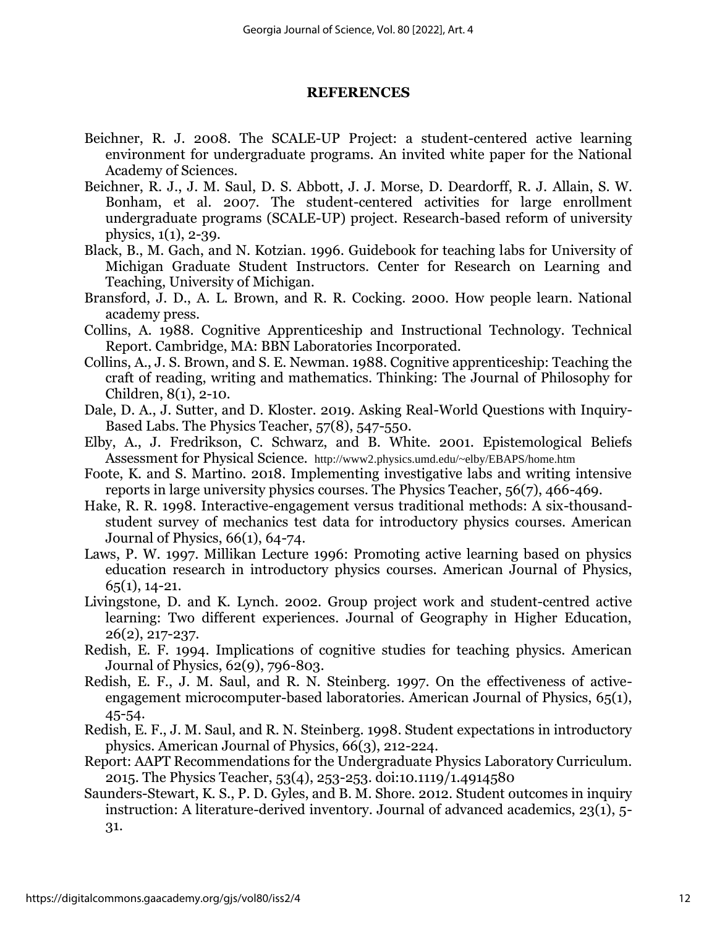#### **REFERENCES**

- Beichner, R. J. 2008. The SCALE-UP Project: a student-centered active learning environment for undergraduate programs. An invited white paper for the National Academy of Sciences.
- Beichner, R. J., J. M. Saul, D. S. Abbott, J. J. Morse, D. Deardorff, R. J. Allain, S. W. Bonham, et al. 2007. The student-centered activities for large enrollment undergraduate programs (SCALE-UP) project. Research-based reform of university physics, 1(1), 2-39.
- Black, B., M. Gach, and N. Kotzian. 1996. Guidebook for teaching labs for University of Michigan Graduate Student Instructors. Center for Research on Learning and Teaching, University of Michigan.
- Bransford, J. D., A. L. Brown, and R. R. Cocking. 2000. How people learn. National academy press.
- Collins, A. 1988. Cognitive Apprenticeship and Instructional Technology. Technical Report. Cambridge, MA: BBN Laboratories Incorporated.
- Collins, A., J. S. Brown, and S. E. Newman. 1988. Cognitive apprenticeship: Teaching the craft of reading, writing and mathematics. Thinking: The Journal of Philosophy for Children, 8(1), 2-10.
- Dale, D. A., J. Sutter, and D. Kloster. 2019. Asking Real-World Questions with Inquiry-Based Labs. The Physics Teacher, 57(8), 547-550.
- Elby, A., J. Fredrikson, C. Schwarz, and B. White. 2001. Epistemological Beliefs Assessment for Physical Science. <http://www2.physics.umd.edu/~elby/EBAPS/home.htm>
- Foote, K. and S. Martino. 2018. Implementing investigative labs and writing intensive reports in large university physics courses. The Physics Teacher, 56(7), 466-469.
- Hake, R. R. 1998. Interactive-engagement versus traditional methods: A six-thousandstudent survey of mechanics test data for introductory physics courses. American Journal of Physics, 66(1), 64-74.
- Laws, P. W. 1997. Millikan Lecture 1996: Promoting active learning based on physics education research in introductory physics courses. American Journal of Physics,  $65(1)$ , 14-21.
- Livingstone, D. and K. Lynch. 2002. Group project work and student-centred active learning: Two different experiences. Journal of Geography in Higher Education, 26(2), 217-237.
- Redish, E. F. 1994. Implications of cognitive studies for teaching physics. American Journal of Physics, 62(9), 796-803.
- Redish, E. F., J. M. Saul, and R. N. Steinberg. 1997. On the effectiveness of activeengagement microcomputer-based laboratories. American Journal of Physics, 65(1), 45-54.
- Redish, E. F., J. M. Saul, and R. N. Steinberg. 1998. Student expectations in introductory physics. American Journal of Physics, 66(3), 212-224.
- Report: AAPT Recommendations for the Undergraduate Physics Laboratory Curriculum. 2015. The Physics Teacher, 53(4), 253-253. doi:10.1119/1.4914580
- Saunders-Stewart, K. S., P. D. Gyles, and B. M. Shore. 2012. Student outcomes in inquiry instruction: A literature-derived inventory. Journal of advanced academics, 23(1), 5- 31.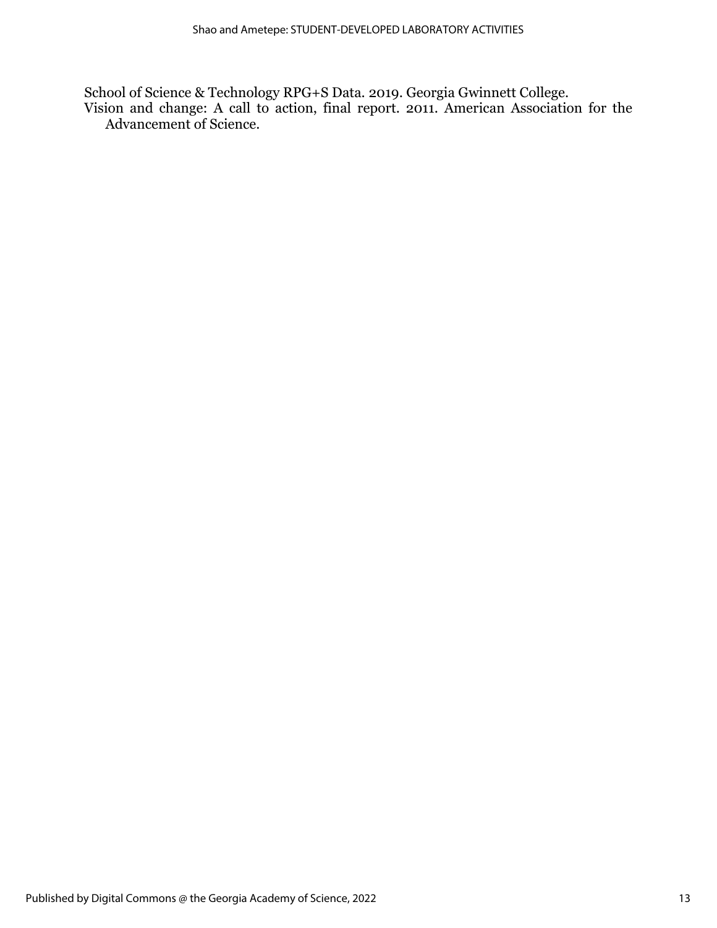School of Science & Technology RPG+S Data. 2019. Georgia Gwinnett College. Vision and change: A call to action, final report. 2011. American Association for the Advancement of Science.